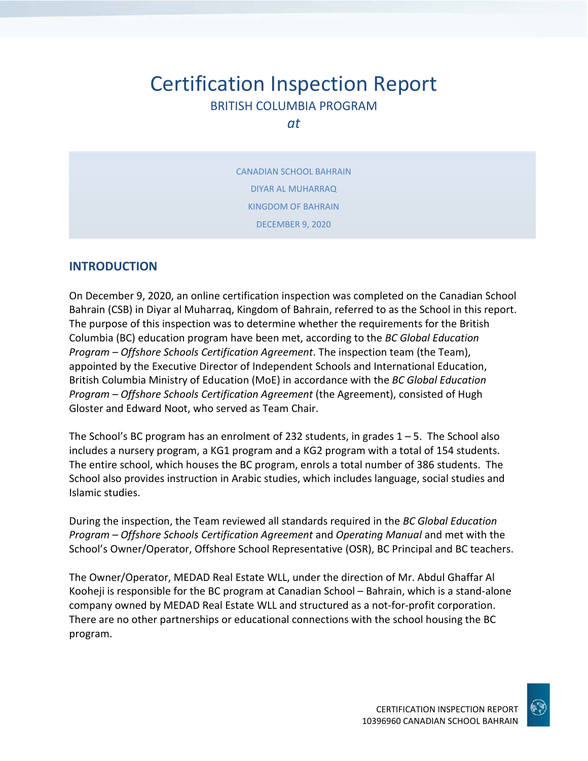# Certification Inspection Report BRITISH COLUMBIA PROGRAM

*at*

CANADIAN SCHOOL BAHRAIN DIYAR AL MUHARRAQ KINGDOM OF BAHRAIN DECEMBER 9, 2020

## **INTRODUCTION**

On December 9, 2020, an online certification inspection was completed on the Canadian School Bahrain (CSB) in Diyar al Muharraq, Kingdom of Bahrain, referred to as the School in this report. The purpose of this inspection was to determine whether the requirements for the British Columbia (BC) education program have been met, according to the *BC Global Education Program – Offshore Schools Certification Agreement*. The inspection team (the Team), appointed by the Executive Director of Independent Schools and International Education, British Columbia Ministry of Education (MoE) in accordance with the *BC Global Education Program – Offshore Schools Certification Agreement* (the Agreement), consisted of Hugh Gloster and Edward Noot, who served as Team Chair.

The School's BC program has an enrolment of 232 students, in grades  $1 - 5$ . The School also includes a nursery program, a KG1 program and a KG2 program with a total of 154 students. The entire school, which houses the BC program, enrols a total number of 386 students. The School also provides instruction in Arabic studies, which includes language, social studies and Islamic studies.

During the inspection, the Team reviewed all standards required in the *BC Global Education Program – Offshore Schools Certification Agreement* and *Operating Manual* and met with the School's Owner/Operator, Offshore School Representative (OSR), BC Principal and BC teachers.

The Owner/Operator, MEDAD Real Estate WLL, under the direction of Mr. Abdul Ghaffar Al Kooheji is responsible for the BC program at Canadian School – Bahrain, which is a stand-alone company owned by MEDAD Real Estate WLL and structured as a not-for-profit corporation. There are no other partnerships or educational connections with the school housing the BC program.

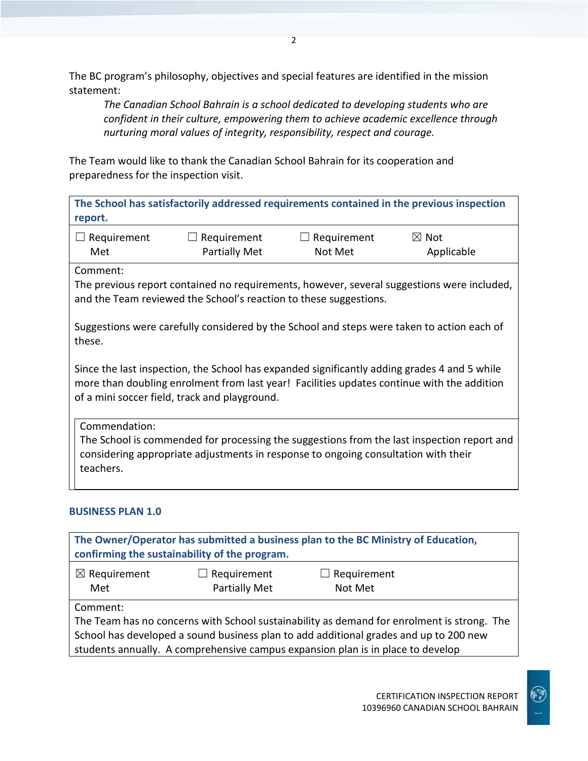The BC program's philosophy, objectives and special features are identified in the mission statement:

*The Canadian School Bahrain is a school dedicated to developing students who are confident in their culture, empowering them to achieve academic excellence through nurturing moral values of integrity, responsibility, respect and courage.*

The Team would like to thank the Canadian School Bahrain for its cooperation and preparedness for the inspection visit.

**The School has satisfactorily addressed requirements contained in the previous inspection report.**

| $\Box$ Requirement | $\Box$ Requirement   | $\Box$ Requirement | $\boxtimes$ Not |
|--------------------|----------------------|--------------------|-----------------|
| Met                | <b>Partially Met</b> | Not Met            | Applicable      |

Comment:

The previous report contained no requirements, however, several suggestions were included, and the Team reviewed the School's reaction to these suggestions.

Suggestions were carefully considered by the School and steps were taken to action each of these.

Since the last inspection, the School has expanded significantly adding grades 4 and 5 while more than doubling enrolment from last year! Facilities updates continue with the addition of a mini soccer field, track and playground.

Commendation: The School is commended for processing the suggestions from the last inspection report and considering appropriate adjustments in response to ongoing consultation with their teachers.

## **BUSINESS PLAN 1.0**

| The Owner/Operator has submitted a business plan to the BC Ministry of Education,<br>confirming the sustainability of the program. |                                            |                                                                                                                                                                                                                                                                        |  |
|------------------------------------------------------------------------------------------------------------------------------------|--------------------------------------------|------------------------------------------------------------------------------------------------------------------------------------------------------------------------------------------------------------------------------------------------------------------------|--|
| $\boxtimes$ Requirement<br>Met                                                                                                     | $\Box$ Requirement<br><b>Partially Met</b> | $\Box$ Requirement<br>Not Met                                                                                                                                                                                                                                          |  |
| Comment:                                                                                                                           |                                            | The Team has no concerns with School sustainability as demand for enrolment is strong. The<br>School has developed a sound business plan to add additional grades and up to 200 new<br>students annually. A comprehensive campus expansion plan is in place to develop |  |

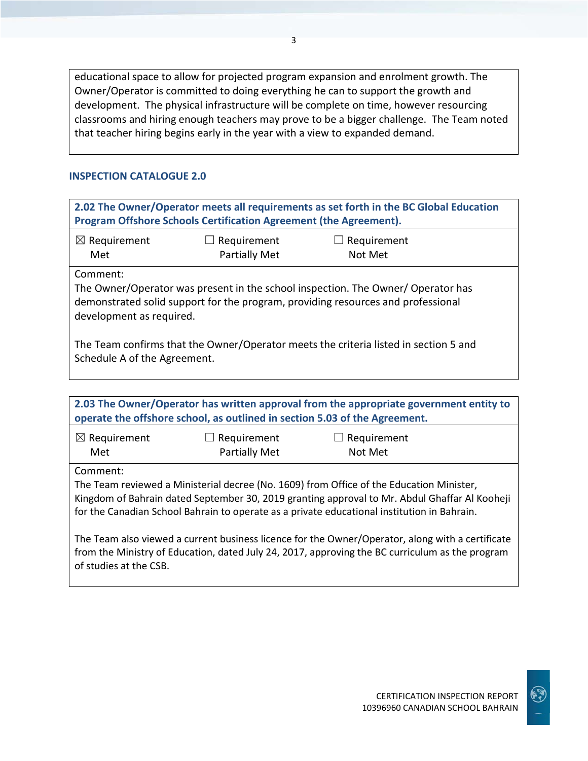educational space to allow for projected program expansion and enrolment growth. The Owner/Operator is committed to doing everything he can to support the growth and development. The physical infrastructure will be complete on time, however resourcing classrooms and hiring enough teachers may prove to be a bigger challenge. The Team noted that teacher hiring begins early in the year with a view to expanded demand.

#### **INSPECTION CATALOGUE 2.0**

| 2.02 The Owner/Operator meets all requirements as set forth in the BC Global Education<br>Program Offshore Schools Certification Agreement (the Agreement).                                                  |                                                                                                                      |                                                                                                                                                                                                                                                                                          |  |  |  |
|--------------------------------------------------------------------------------------------------------------------------------------------------------------------------------------------------------------|----------------------------------------------------------------------------------------------------------------------|------------------------------------------------------------------------------------------------------------------------------------------------------------------------------------------------------------------------------------------------------------------------------------------|--|--|--|
| $\boxtimes$ Requirement<br>Met                                                                                                                                                                               | Requirement<br>Partially Met                                                                                         | $\Box$ Requirement<br>Not Met                                                                                                                                                                                                                                                            |  |  |  |
| Comment:<br>The Owner/Operator was present in the school inspection. The Owner/ Operator has<br>demonstrated solid support for the program, providing resources and professional<br>development as required. |                                                                                                                      |                                                                                                                                                                                                                                                                                          |  |  |  |
|                                                                                                                                                                                                              | The Team confirms that the Owner/Operator meets the criteria listed in section 5 and<br>Schedule A of the Agreement. |                                                                                                                                                                                                                                                                                          |  |  |  |
| 2.03 The Owner/Operator has written approval from the appropriate government entity to<br>operate the offshore school, as outlined in section 5.03 of the Agreement.                                         |                                                                                                                      |                                                                                                                                                                                                                                                                                          |  |  |  |
| $\boxtimes$ Requirement<br>Met                                                                                                                                                                               | $\Box$ Requirement<br>Partially Met                                                                                  | $\Box$ Requirement<br>Not Met                                                                                                                                                                                                                                                            |  |  |  |
| Comment:                                                                                                                                                                                                     |                                                                                                                      | The Team reviewed a Ministerial decree (No. 1609) from Office of the Education Minister,<br>Kingdom of Bahrain dated September 30, 2019 granting approval to Mr. Abdul Ghaffar Al Kooheji<br>for the Canadian School Bahrain to operate as a private educational institution in Bahrain. |  |  |  |

The Team also viewed a current business licence for the Owner/Operator, along with a certificate from the Ministry of Education, dated July 24, 2017, approving the BC curriculum as the program of studies at the CSB.

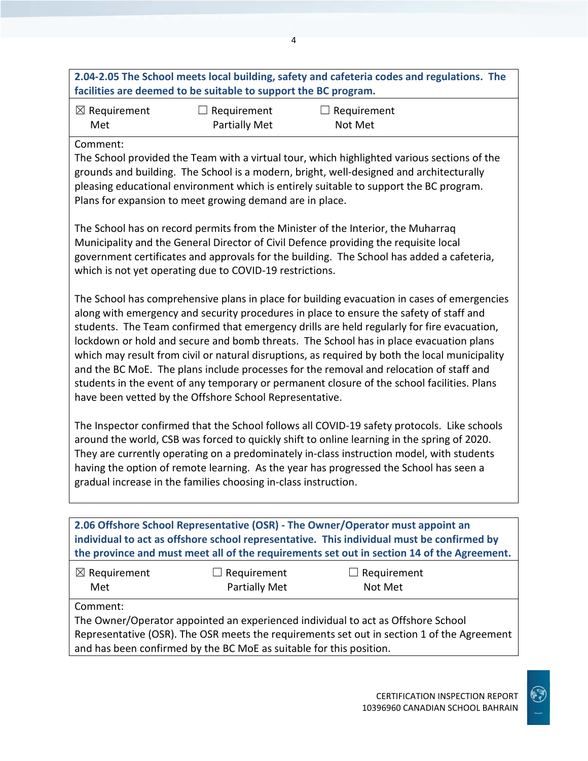| $\boxtimes$ Requirement<br>$\Box$ Requirement<br>$\Box$ Requirement<br>Partially Met<br>Met<br>Not Met                                                                                                                                                                                                                                                                                                                                                                                                                                                                                                                                                                                                                                |  |  |  |
|---------------------------------------------------------------------------------------------------------------------------------------------------------------------------------------------------------------------------------------------------------------------------------------------------------------------------------------------------------------------------------------------------------------------------------------------------------------------------------------------------------------------------------------------------------------------------------------------------------------------------------------------------------------------------------------------------------------------------------------|--|--|--|
| Comment:<br>The School provided the Team with a virtual tour, which highlighted various sections of the<br>grounds and building. The School is a modern, bright, well-designed and architecturally<br>pleasing educational environment which is entirely suitable to support the BC program.<br>Plans for expansion to meet growing demand are in place.                                                                                                                                                                                                                                                                                                                                                                              |  |  |  |
| The School has on record permits from the Minister of the Interior, the Muharraq<br>Municipality and the General Director of Civil Defence providing the requisite local<br>government certificates and approvals for the building. The School has added a cafeteria,<br>which is not yet operating due to COVID-19 restrictions.                                                                                                                                                                                                                                                                                                                                                                                                     |  |  |  |
| The School has comprehensive plans in place for building evacuation in cases of emergencies<br>along with emergency and security procedures in place to ensure the safety of staff and<br>students. The Team confirmed that emergency drills are held regularly for fire evacuation,<br>lockdown or hold and secure and bomb threats. The School has in place evacuation plans<br>which may result from civil or natural disruptions, as required by both the local municipality<br>and the BC MoE. The plans include processes for the removal and relocation of staff and<br>students in the event of any temporary or permanent closure of the school facilities. Plans<br>have been vetted by the Offshore School Representative. |  |  |  |
| The Inspector confirmed that the School follows all COVID-19 safety protocols. Like schools<br>around the world, CSB was forced to quickly shift to online learning in the spring of 2020.<br>They are currently operating on a predominately in-class instruction model, with students<br>having the option of remote learning. As the year has progressed the School has seen a<br>gradual increase in the families choosing in-class instruction.                                                                                                                                                                                                                                                                                  |  |  |  |
| 2.06 Offshore School Representative (OSR) - The Owner/Operator must appoint an<br>individual to act as offshore school representative. This individual must be confirmed by<br>the province and must meet all of the requirements set out in section 14 of the Agreement.                                                                                                                                                                                                                                                                                                                                                                                                                                                             |  |  |  |
| $\Box$ Requirement<br>$\boxtimes$ Requirement<br>$\exists$ Requirement<br>Partially Met<br>Not Met<br>Met<br>Comment:                                                                                                                                                                                                                                                                                                                                                                                                                                                                                                                                                                                                                 |  |  |  |

4

The Owner/Operator appointed an experienced individual to act as Offshore School Representative (OSR). The OSR meets the requirements set out in section 1 of the Agreement and has been confirmed by the BC MoE as suitable for this position.

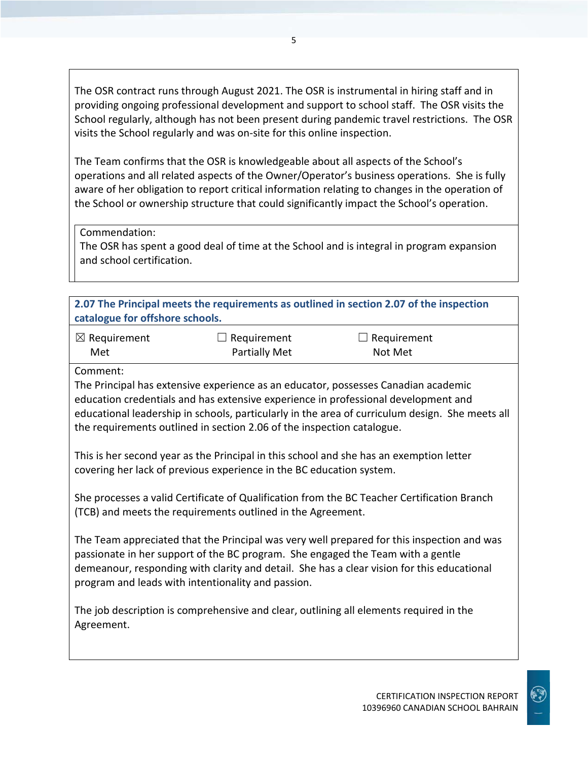The OSR contract runs through August 2021. The OSR is instrumental in hiring staff and in providing ongoing professional development and support to school staff. The OSR visits the School regularly, although has not been present during pandemic travel restrictions. The OSR visits the School regularly and was on-site for this online inspection.

The Team confirms that the OSR is knowledgeable about all aspects of the School's operations and all related aspects of the Owner/Operator's business operations. She is fully aware of her obligation to report critical information relating to changes in the operation of the School or ownership structure that could significantly impact the School's operation.

Commendation:

The OSR has spent a good deal of time at the School and is integral in program expansion and school certification.

| 2.07 The Principal meets the requirements as outlined in section 2.07 of the inspection<br>catalogue for offshore schools.                                                                                                                                                                                                        |                                                                        |                                                                                                                                                                                       |  |
|-----------------------------------------------------------------------------------------------------------------------------------------------------------------------------------------------------------------------------------------------------------------------------------------------------------------------------------|------------------------------------------------------------------------|---------------------------------------------------------------------------------------------------------------------------------------------------------------------------------------|--|
| $\boxtimes$ Requirement                                                                                                                                                                                                                                                                                                           | Requirement                                                            | $\Box$ Requirement                                                                                                                                                                    |  |
| Met                                                                                                                                                                                                                                                                                                                               | Partially Met                                                          | Not Met                                                                                                                                                                               |  |
| Comment:                                                                                                                                                                                                                                                                                                                          |                                                                        |                                                                                                                                                                                       |  |
|                                                                                                                                                                                                                                                                                                                                   |                                                                        | The Principal has extensive experience as an educator, possesses Canadian academic                                                                                                    |  |
|                                                                                                                                                                                                                                                                                                                                   |                                                                        | education credentials and has extensive experience in professional development and<br>educational leadership in schools, particularly in the area of curriculum design. She meets all |  |
|                                                                                                                                                                                                                                                                                                                                   | the requirements outlined in section 2.06 of the inspection catalogue. |                                                                                                                                                                                       |  |
| This is her second year as the Principal in this school and she has an exemption letter<br>covering her lack of previous experience in the BC education system.                                                                                                                                                                   |                                                                        |                                                                                                                                                                                       |  |
| She processes a valid Certificate of Qualification from the BC Teacher Certification Branch<br>(TCB) and meets the requirements outlined in the Agreement.                                                                                                                                                                        |                                                                        |                                                                                                                                                                                       |  |
| The Team appreciated that the Principal was very well prepared for this inspection and was<br>passionate in her support of the BC program. She engaged the Team with a gentle<br>demeanour, responding with clarity and detail. She has a clear vision for this educational<br>program and leads with intentionality and passion. |                                                                        |                                                                                                                                                                                       |  |
| Agreement.                                                                                                                                                                                                                                                                                                                        |                                                                        | The job description is comprehensive and clear, outlining all elements required in the                                                                                                |  |
|                                                                                                                                                                                                                                                                                                                                   |                                                                        |                                                                                                                                                                                       |  |

 $\mathbf{C}$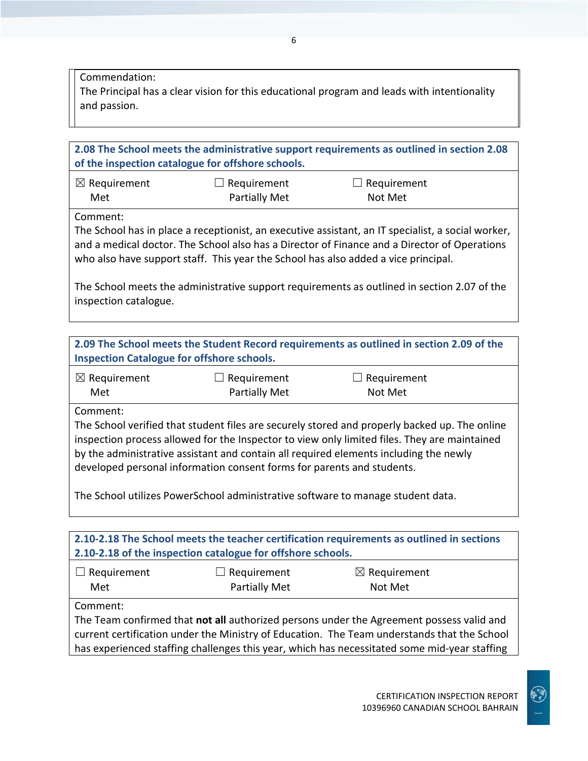Commendation:

The Principal has a clear vision for this educational program and leads with intentionality and passion.

**2.08 The School meets the administrative support requirements as outlined in section 2.08 of the inspection catalogue for offshore schools.** ☒ Requirement Met  $\Box$  Requirement Partially Met  $\Box$  Requirement Not Met Comment: The School has in place a receptionist, an executive assistant, an IT specialist, a social worker, and a medical doctor. The School also has a Director of Finance and a Director of Operations who also have support staff. This year the School has also added a vice principal. The School meets the administrative support requirements as outlined in section 2.07 of the inspection catalogue.

**2.09 The School meets the Student Record requirements as outlined in section 2.09 of the Inspection Catalogue for offshore schools.**

| $\boxtimes$ Requirement | $\Box$ Requirement   | $\Box$ Requirement |  |
|-------------------------|----------------------|--------------------|--|
| Met                     | <b>Partially Met</b> | Not Met            |  |

Comment:

The School verified that student files are securely stored and properly backed up. The online inspection process allowed for the Inspector to view only limited files. They are maintained by the administrative assistant and contain all required elements including the newly developed personal information consent forms for parents and students.

The School utilizes PowerSchool administrative software to manage student data.

| 2.10-2.18 The School meets the teacher certification requirements as outlined in sections<br>2.10-2.18 of the inspection catalogue for offshore schools. |                    |                         |  |
|----------------------------------------------------------------------------------------------------------------------------------------------------------|--------------------|-------------------------|--|
| $\Box$ Requirement                                                                                                                                       | $\Box$ Requirement | $\boxtimes$ Requirement |  |
| Met                                                                                                                                                      | Partially Met      | Not Met                 |  |
| Comment:                                                                                                                                                 |                    |                         |  |
| The Team confirmed that not all authorized persons under the Agreement possess valid and                                                                 |                    |                         |  |
| current certification under the Ministry of Education. The Team understands that the School                                                              |                    |                         |  |
| has experienced staffing challenges this year, which has necessitated some mid-year staffing                                                             |                    |                         |  |

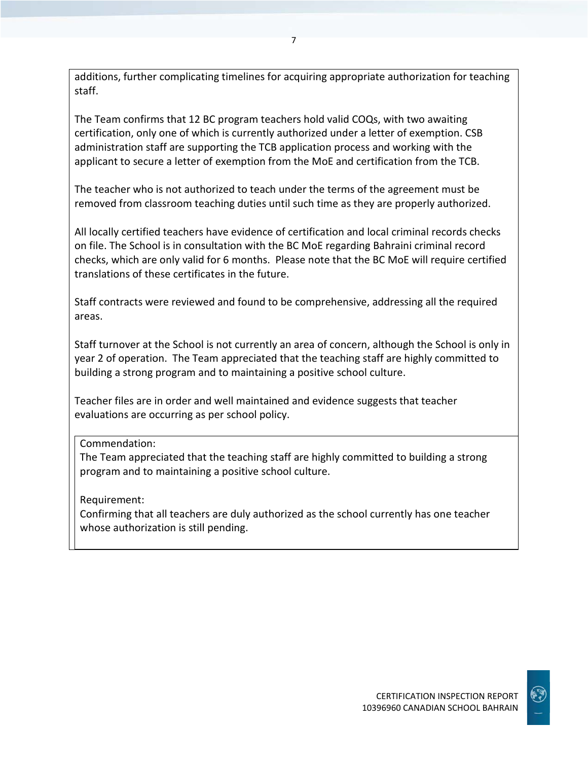additions, further complicating timelines for acquiring appropriate authorization for teaching staff.

The Team confirms that 12 BC program teachers hold valid COQs, with two awaiting certification, only one of which is currently authorized under a letter of exemption. CSB administration staff are supporting the TCB application process and working with the applicant to secure a letter of exemption from the MoE and certification from the TCB.

The teacher who is not authorized to teach under the terms of the agreement must be removed from classroom teaching duties until such time as they are properly authorized.

All locally certified teachers have evidence of certification and local criminal records checks on file. The School is in consultation with the BC MoE regarding Bahraini criminal record checks, which are only valid for 6 months. Please note that the BC MoE will require certified translations of these certificates in the future.

Staff contracts were reviewed and found to be comprehensive, addressing all the required areas.

Staff turnover at the School is not currently an area of concern, although the School is only in year 2 of operation. The Team appreciated that the teaching staff are highly committed to building a strong program and to maintaining a positive school culture.

Teacher files are in order and well maintained and evidence suggests that teacher evaluations are occurring as per school policy.

## Commendation:

The Team appreciated that the teaching staff are highly committed to building a strong program and to maintaining a positive school culture.

Requirement:

Confirming that all teachers are duly authorized as the school currently has one teacher whose authorization is still pending.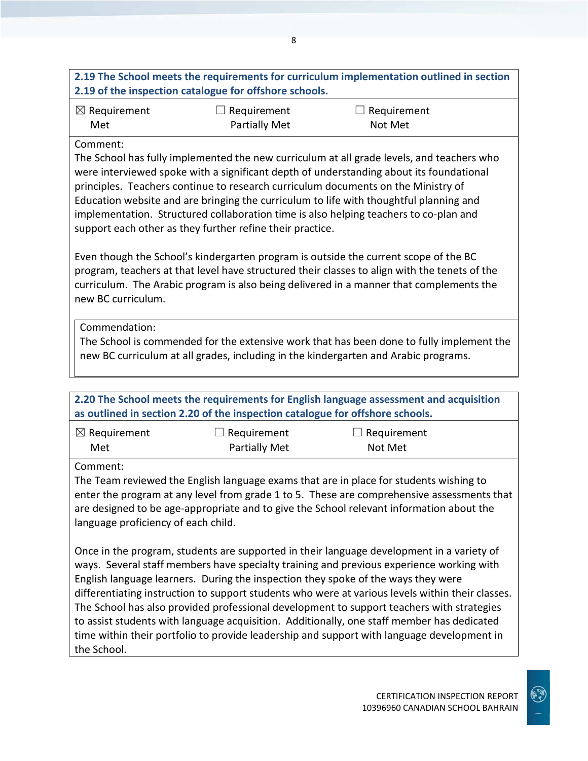|                                                 | 2.19 of the inspection catalogue for offshore schools.                                     | 2.19 The School meets the requirements for curriculum implementation outlined in section                                                                                                                                                                                                                                                                                                                                                                                                                                                                                  |
|-------------------------------------------------|--------------------------------------------------------------------------------------------|---------------------------------------------------------------------------------------------------------------------------------------------------------------------------------------------------------------------------------------------------------------------------------------------------------------------------------------------------------------------------------------------------------------------------------------------------------------------------------------------------------------------------------------------------------------------------|
| $\boxtimes$ Requirement                         | Requirement                                                                                | $\Box$ Requirement                                                                                                                                                                                                                                                                                                                                                                                                                                                                                                                                                        |
| Met                                             | <b>Partially Met</b>                                                                       | Not Met                                                                                                                                                                                                                                                                                                                                                                                                                                                                                                                                                                   |
| Comment:                                        | support each other as they further refine their practice.                                  | The School has fully implemented the new curriculum at all grade levels, and teachers who<br>were interviewed spoke with a significant depth of understanding about its foundational<br>principles. Teachers continue to research curriculum documents on the Ministry of<br>Education website and are bringing the curriculum to life with thoughtful planning and<br>implementation. Structured collaboration time is also helping teachers to co-plan and                                                                                                              |
| new BC curriculum.                              |                                                                                            | Even though the School's kindergarten program is outside the current scope of the BC<br>program, teachers at that level have structured their classes to align with the tenets of the<br>curriculum. The Arabic program is also being delivered in a manner that complements the                                                                                                                                                                                                                                                                                          |
| Commendation:                                   |                                                                                            | The School is commended for the extensive work that has been done to fully implement the<br>new BC curriculum at all grades, including in the kindergarten and Arabic programs.<br>2.20 The School meets the requirements for English language assessment and acquisition                                                                                                                                                                                                                                                                                                 |
|                                                 | as outlined in section 2.20 of the inspection catalogue for offshore schools.              |                                                                                                                                                                                                                                                                                                                                                                                                                                                                                                                                                                           |
| $\boxtimes$ Requirement<br>Met                  | $\Box$ Requirement<br><b>Partially Met</b>                                                 | $\Box$ Requirement<br>Not Met                                                                                                                                                                                                                                                                                                                                                                                                                                                                                                                                             |
| Comment:<br>language proficiency of each child. |                                                                                            | The Team reviewed the English language exams that are in place for students wishing to<br>enter the program at any level from grade 1 to 5. These are comprehensive assessments that<br>are designed to be age-appropriate and to give the School relevant information about the                                                                                                                                                                                                                                                                                          |
|                                                 | time within their portfolio to provide leadership and support with language development in | Once in the program, students are supported in their language development in a variety of<br>ways. Several staff members have specialty training and previous experience working with<br>English language learners. During the inspection they spoke of the ways they were<br>differentiating instruction to support students who were at various levels within their classes.<br>The School has also provided professional development to support teachers with strategies<br>to assist students with language acquisition. Additionally, one staff member has dedicated |

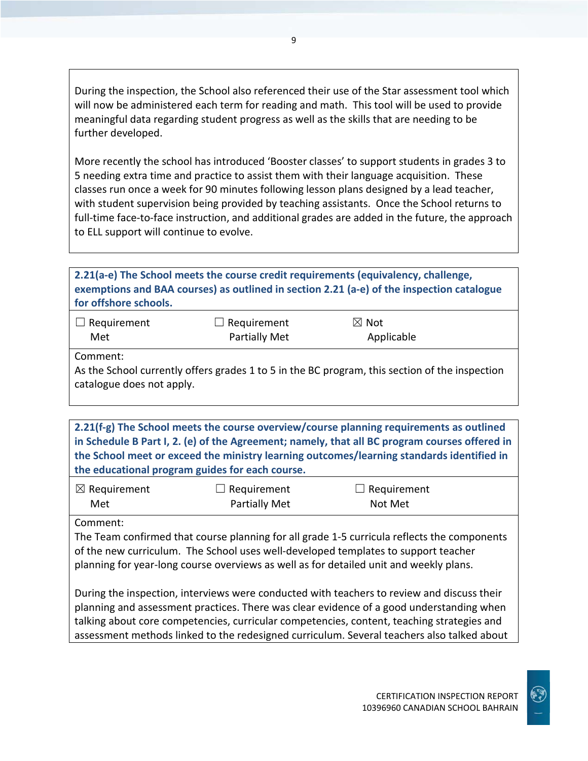During the inspection, the School also referenced their use of the Star assessment tool which will now be administered each term for reading and math. This tool will be used to provide meaningful data regarding student progress as well as the skills that are needing to be further developed.

More recently the school has introduced 'Booster classes' to support students in grades 3 to 5 needing extra time and practice to assist them with their language acquisition. These classes run once a week for 90 minutes following lesson plans designed by a lead teacher, with student supervision being provided by teaching assistants. Once the School returns to full-time face-to-face instruction, and additional grades are added in the future, the approach to ELL support will continue to evolve.

**2.21(a-e) The School meets the course credit requirements (equivalency, challenge, exemptions and BAA courses) as outlined in section 2.21 (a-e) of the inspection catalogue for offshore schools.** ☐ Requirement Met  $\Box$  Requirement Partially Met ☒ Not Applicable Comment: As the School currently offers grades 1 to 5 in the BC program, this section of the inspection catalogue does not apply.

**2.21(f-g) The School meets the course overview/course planning requirements as outlined in Schedule B Part I, 2. (e) of the Agreement; namely, that all BC program courses offered in the School meet or exceed the ministry learning outcomes/learning standards identified in the educational program guides for each course.**

| $\boxtimes$ Requirement | $\Box$ Requirement | $\Box$ Requirement |
|-------------------------|--------------------|--------------------|
| Met                     | Partially Met      | Not Met            |

Comment:

The Team confirmed that course planning for all grade 1-5 curricula reflects the components of the new curriculum. The School uses well-developed templates to support teacher planning for year-long course overviews as well as for detailed unit and weekly plans.

During the inspection, interviews were conducted with teachers to review and discuss their planning and assessment practices. There was clear evidence of a good understanding when talking about core competencies, curricular competencies, content, teaching strategies and assessment methods linked to the redesigned curriculum. Several teachers also talked about

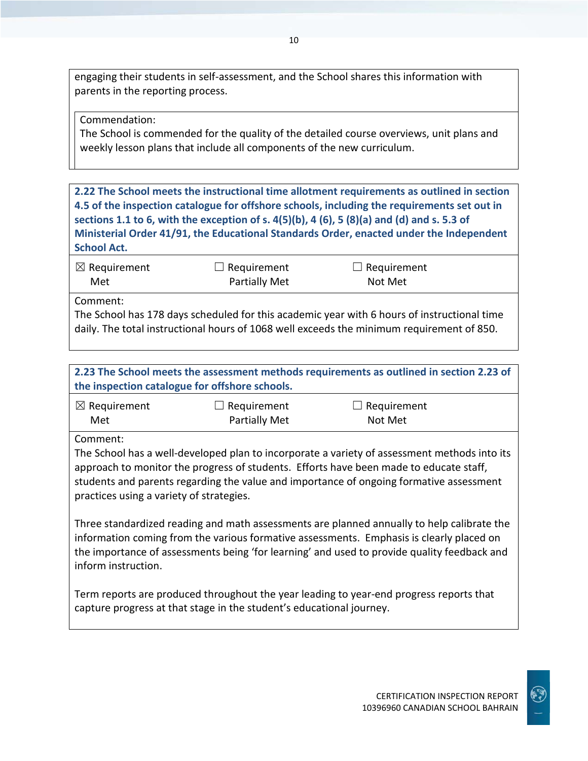engaging their students in self-assessment, and the School shares this information with parents in the reporting process.

Commendation:

The School is commended for the quality of the detailed course overviews, unit plans and weekly lesson plans that include all components of the new curriculum.

**2.22 The School meets the instructional time allotment requirements as outlined in section 4.5 of the inspection catalogue for offshore schools, including the requirements set out in sections 1.1 to 6, with the exception of s. 4(5)(b), 4 (6), 5 (8)(a) and (d) and s. 5.3 of Ministerial Order 41/91, the Educational Standards Order, enacted under the Independent School Act.**

| $\boxtimes$ Requirement | $\Box$ Requirement   | $\Box$ Requirement |  |
|-------------------------|----------------------|--------------------|--|
| Met                     | <b>Partially Met</b> | Not Met            |  |

Comment:

The School has 178 days scheduled for this academic year with 6 hours of instructional time daily. The total instructional hours of 1068 well exceeds the minimum requirement of 850.

## **2.23 The School meets the assessment methods requirements as outlined in section 2.23 of the inspection catalogue for offshore schools.**

| $\boxtimes$ Requirement | $\Box$ Requirement   | $\Box$ Requirement |
|-------------------------|----------------------|--------------------|
| Met                     | <b>Partially Met</b> | Not Met            |

Comment:

The School has a well-developed plan to incorporate a variety of assessment methods into its approach to monitor the progress of students. Efforts have been made to educate staff, students and parents regarding the value and importance of ongoing formative assessment practices using a variety of strategies.

Three standardized reading and math assessments are planned annually to help calibrate the information coming from the various formative assessments. Emphasis is clearly placed on the importance of assessments being 'for learning' and used to provide quality feedback and inform instruction.

Term reports are produced throughout the year leading to year-end progress reports that capture progress at that stage in the student's educational journey.

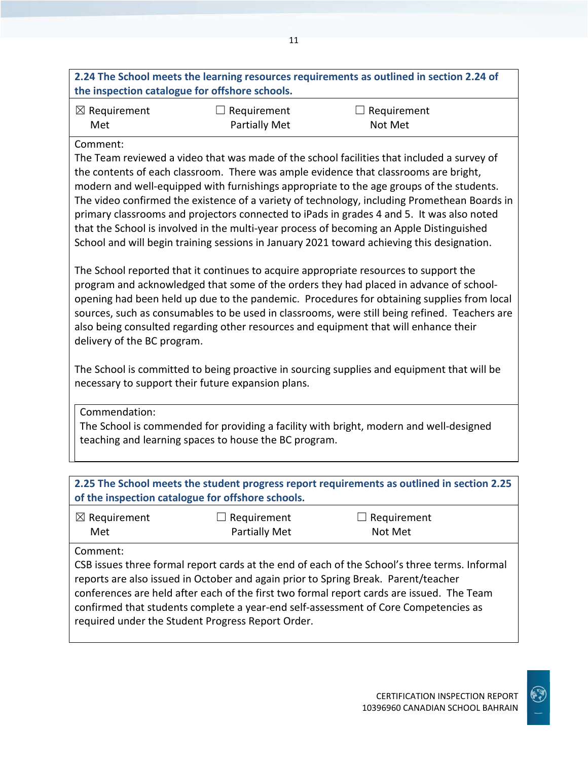| 2.24 The School meets the learning resources requirements as outlined in section 2.24 of |  |
|------------------------------------------------------------------------------------------|--|
| the inspection catalogue for offshore schools.                                           |  |

| $\boxtimes$ Requirement | $\Box$ Requirement   | $\Box$ Requirement |
|-------------------------|----------------------|--------------------|
| Met                     | <b>Partially Met</b> | Not Met            |

#### Comment:

The Team reviewed a video that was made of the school facilities that included a survey of the contents of each classroom. There was ample evidence that classrooms are bright, modern and well-equipped with furnishings appropriate to the age groups of the students. The video confirmed the existence of a variety of technology, including Promethean Boards in primary classrooms and projectors connected to iPads in grades 4 and 5. It was also noted that the School is involved in the multi-year process of becoming an Apple Distinguished School and will begin training sessions in January 2021 toward achieving this designation.

The School reported that it continues to acquire appropriate resources to support the program and acknowledged that some of the orders they had placed in advance of schoolopening had been held up due to the pandemic. Procedures for obtaining supplies from local sources, such as consumables to be used in classrooms, were still being refined. Teachers are also being consulted regarding other resources and equipment that will enhance their delivery of the BC program.

The School is committed to being proactive in sourcing supplies and equipment that will be necessary to support their future expansion plans.

Commendation:

The School is commended for providing a facility with bright, modern and well-designed teaching and learning spaces to house the BC program.

| 2.25 The School meets the student progress report requirements as outlined in section 2.25<br>of the inspection catalogue for offshore schools.                                                                                                                                                                                                                                                                                          |                                     |                        |  |  |  |
|------------------------------------------------------------------------------------------------------------------------------------------------------------------------------------------------------------------------------------------------------------------------------------------------------------------------------------------------------------------------------------------------------------------------------------------|-------------------------------------|------------------------|--|--|--|
| $\boxtimes$ Requirement<br>Met                                                                                                                                                                                                                                                                                                                                                                                                           | Requirement<br><b>Partially Met</b> | Requirement<br>Not Met |  |  |  |
| Comment:<br>CSB issues three formal report cards at the end of each of the School's three terms. Informal<br>reports are also issued in October and again prior to Spring Break. Parent/teacher<br>conferences are held after each of the first two formal report cards are issued. The Team<br>confirmed that students complete a year-end self-assessment of Core Competencies as<br>required under the Student Progress Report Order. |                                     |                        |  |  |  |

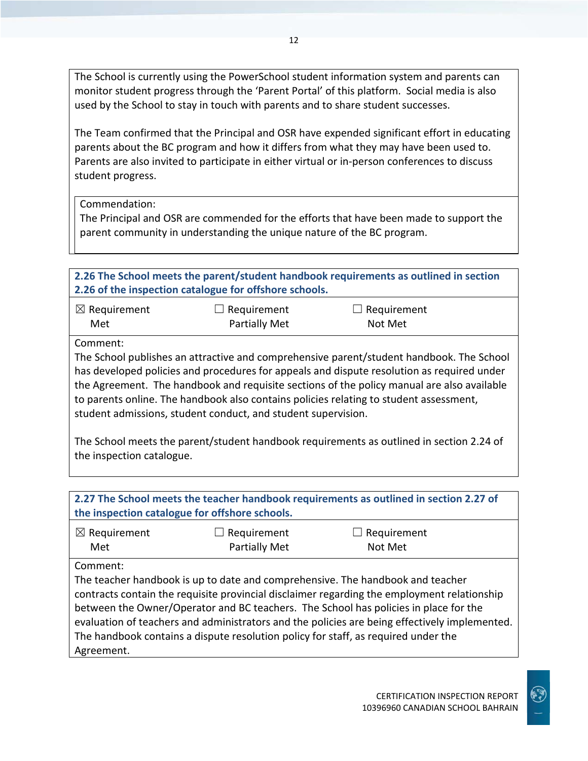The School is currently using the PowerSchool student information system and parents can monitor student progress through the 'Parent Portal' of this platform. Social media is also used by the School to stay in touch with parents and to share student successes.

The Team confirmed that the Principal and OSR have expended significant effort in educating parents about the BC program and how it differs from what they may have been used to. Parents are also invited to participate in either virtual or in-person conferences to discuss student progress.

Commendation:

The Principal and OSR are commended for the efforts that have been made to support the parent community in understanding the unique nature of the BC program.

| 2.26 The School meets the parent/student handbook requirements as outlined in section<br>2.26 of the inspection catalogue for offshore schools.                                                                                                                                                                                                                                                                                                                                                                                                                                      |                      |             |  |  |  |
|--------------------------------------------------------------------------------------------------------------------------------------------------------------------------------------------------------------------------------------------------------------------------------------------------------------------------------------------------------------------------------------------------------------------------------------------------------------------------------------------------------------------------------------------------------------------------------------|----------------------|-------------|--|--|--|
| $\boxtimes$ Requirement                                                                                                                                                                                                                                                                                                                                                                                                                                                                                                                                                              | Requirement          | Requirement |  |  |  |
| Met                                                                                                                                                                                                                                                                                                                                                                                                                                                                                                                                                                                  | <b>Partially Met</b> | Not Met     |  |  |  |
| Comment:<br>The School publishes an attractive and comprehensive parent/student handbook. The School<br>has developed policies and procedures for appeals and dispute resolution as required under<br>the Agreement. The handbook and requisite sections of the policy manual are also available<br>to parents online. The handbook also contains policies relating to student assessment,<br>student admissions, student conduct, and student supervision.<br>The School meets the parent/student handbook requirements as outlined in section 2.24 of<br>the inspection catalogue. |                      |             |  |  |  |
| 2.27 The School meets the teacher handbook requirements as outlined in section 2.27 of                                                                                                                                                                                                                                                                                                                                                                                                                                                                                               |                      |             |  |  |  |
| the inspection catalogue for offshore schools.                                                                                                                                                                                                                                                                                                                                                                                                                                                                                                                                       |                      |             |  |  |  |
| $\boxtimes$ Requirement                                                                                                                                                                                                                                                                                                                                                                                                                                                                                                                                                              | Requirement          | Requirement |  |  |  |
| Met                                                                                                                                                                                                                                                                                                                                                                                                                                                                                                                                                                                  | <b>Partially Met</b> | Not Met     |  |  |  |
| Comment:                                                                                                                                                                                                                                                                                                                                                                                                                                                                                                                                                                             |                      |             |  |  |  |
| The teacher handbook is up to date and comprehensive. The handbook and teacher<br>contracts contain the requisite provincial disclaimer regarding the employment relationship<br>between the Owner/Operator and BC teachers. The School has policies in place for the<br>evaluation of teachers and administrators and the policies are being effectively implemented.                                                                                                                                                                                                               |                      |             |  |  |  |

The handbook contains a dispute resolution policy for staff, as required under the Agreement.

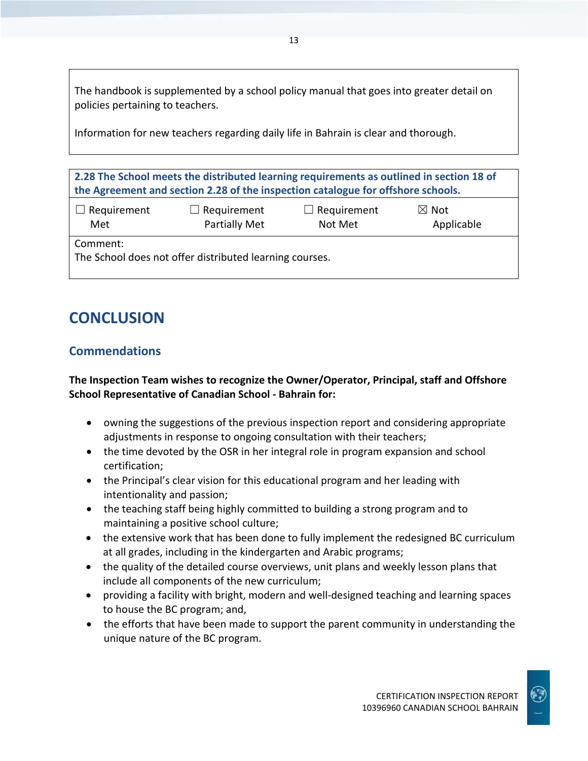The handbook is supplemented by a school policy manual that goes into greater detail on policies pertaining to teachers.

13

Information for new teachers regarding daily life in Bahrain is clear and thorough.

**2.28 The School meets the distributed learning requirements as outlined in section 18 of the Agreement and section 2.28 of the inspection catalogue for offshore schools.**

| $\Box$ Requirement | $\Box$ Requirement   | $\Box$ Requirement | $\boxtimes$ Not |
|--------------------|----------------------|--------------------|-----------------|
| Met                | <b>Partially Met</b> | Not Met            | Applicable      |
|                    |                      |                    |                 |

Comment:

The School does not offer distributed learning courses.

## **CONCLUSION**

## **Commendations**

## **The Inspection Team wishes to recognize the Owner/Operator, Principal, staff and Offshore School Representative of Canadian School - Bahrain for:**

- owning the suggestions of the previous inspection report and considering appropriate adjustments in response to ongoing consultation with their teachers;
- the time devoted by the OSR in her integral role in program expansion and school certification;
- the Principal's clear vision for this educational program and her leading with intentionality and passion;
- the teaching staff being highly committed to building a strong program and to maintaining a positive school culture;
- the extensive work that has been done to fully implement the redesigned BC curriculum at all grades, including in the kindergarten and Arabic programs;
- the quality of the detailed course overviews, unit plans and weekly lesson plans that include all components of the new curriculum;
- providing a facility with bright, modern and well-designed teaching and learning spaces to house the BC program; and,
- the efforts that have been made to support the parent community in understanding the unique nature of the BC program.